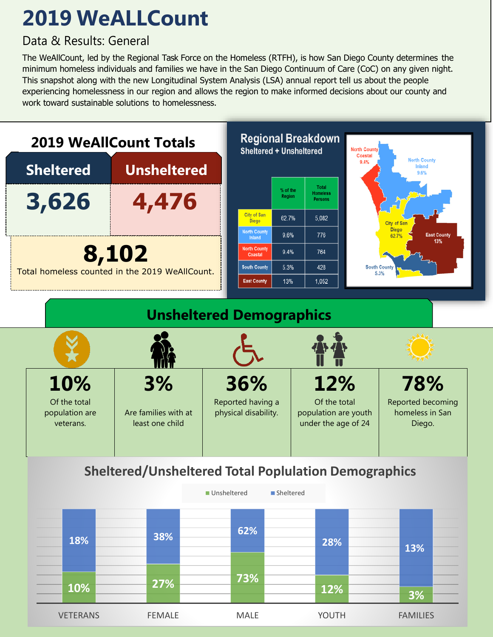## **2019 WeALLCount**

## **2019 San Diego Regional Community Totals Community Totals**

The WeAllCount, led by the Regional Task Force on the Homeless (RTFH), is how San Diego County determines the minimum homeless individuals and families we have in the San Diego Continuum of Care (CoC) on any given night. This snapshot along with the new Longitudinal System Analysis (LSA) annual report tell us about the people experiencing homelessness in our region and allows the region to make informed decisions about our county and work toward sustainable solutions to homelessness.